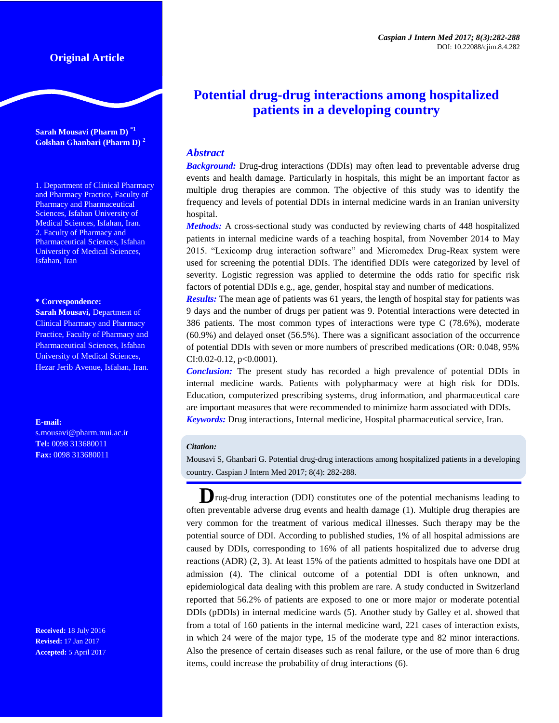## **Original Article**

**Sarah Mousavi (Pharm D) \*1 Golshan Ghanbari (Pharm D) <sup>2</sup>**

1. Department of Clinical Pharmacy and Pharmacy Practice, Faculty of Pharmacy and Pharmaceutical Sciences, Isfahan University of Medical Sciences, Isfahan, Iran. 2. Faculty of Pharmacy and Pharmaceutical Sciences, Isfahan University of Medical Sciences, Isfahan, Iran

#### **\* Correspondence:**

**Sarah Mousavi,** Department of Clinical Pharmacy and Pharmacy Practice, Faculty of Pharmacy and Pharmaceutical Sciences, Isfahan University of Medical Sciences, Hezar Jerib Avenue, Isfahan, Iran.

**E-mail:**

s.mousavi@pharm.mui.ac.ir **Tel:** 0098 313680011 **Fax:** 0098 313680011

**Received:** 18 July 2016 **Revised:** 17 Jan 2017 **Accepted:** 5 April 2017

# **Potential drug-drug interactions among hospitalized patients in a developing country**

## *Abstract*

*Background:* Drug-drug interactions (DDIs) may often lead to preventable adverse drug events and health damage. Particularly in hospitals, this might be an important factor as multiple drug therapies are common. The objective of this study was to identify the frequency and levels of potential DDIs in internal medicine wards in an Iranian university hospital.

*Methods:* A cross-sectional study was conducted by reviewing charts of 448 hospitalized patients in internal medicine wards of a teaching hospital, from November 2014 to May 2015. "Lexicomp drug interaction software" and Micromedex Drug-Reax system were used for screening the potential DDIs. The identified DDIs were categorized by level of severity. Logistic regression was applied to determine the odds ratio for specific risk factors of potential DDIs e.g., age, gender, hospital stay and number of medications.

*Results:* The mean age of patients was 61 years, the length of hospital stay for patients was 9 days and the number of drugs per patient was 9. Potential interactions were detected in 386 patients. The most common types of interactions were type C (78.6%), moderate (60.9%) and delayed onset (56.5%). There was a significant association of the occurrence of potential DDIs with seven or more numbers of prescribed medications (OR: 0.048, 95% CI:0.02-0.12,  $p<0.0001$ ).

*Conclusion:* The present study has recorded a high prevalence of potential DDIs in internal medicine wards. Patients with polypharmacy were at high risk for DDIs. Education, computerized prescribing systems, drug information, and pharmaceutical care are important measures that were recommended to minimize harm associated with DDIs. *Keywords:* [Drug interactions,](http://www.ncbi.nlm.nih.gov/mesh/68004347) Internal medicine, Hospital pharmaceutical service, Iran.

#### *Citation:*

Mousavi S, Ghanbari G. Potential drug-drug interactions among hospitalized patients in a developing country. Caspian J Intern Med 2017; 8(4): 282-288.

**D**rug-drug interaction (DDI) constitutes one of the potential mechanisms leading to often preventable adverse drug events and health damage (1). Multiple drug therapies are very common for the treatment of various medical illnesses. Such therapy may be the potential source of DDI. According to published studies, 1% of all hospital admissions are caused by DDIs, corresponding to 16% of all patients hospitalized due to adverse drug reactions (ADR) (2, 3). At least 15% of the patients admitted to hospitals have one DDI at admission (4). The clinical outcome of a potential DDI is often unknown, and epidemiological data dealing with this problem are rare. A study conducted in Switzerland reported that 56.2% of patients are exposed to one or more major or moderate potential DDIs (pDDIs) in internal medicine wards (5). Another study by Galley et al. showed that from a total of 160 patients in the internal medicine ward, 221 cases of interaction exists, in which 24 were of the major type, 15 of the moderate type and 82 minor interactions. Also the presence of certain diseases such as renal failure, or the use of more than 6 drug items, could increase the probability of drug interactions (6).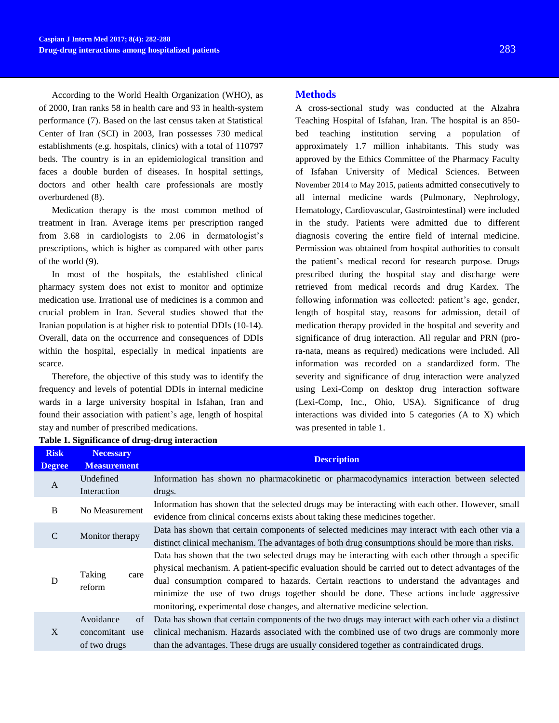According to the World Health Organization (WHO), as of 2000, Iran ranks 58 in health care and 93 in health-system performance (7). Based on the last census taken at Statistical Center of Iran (SCI) in 2003, Iran possesses 730 medical establishments (e.g. hospitals, clinics) with a total of 110797 beds. The country is in an epidemiological transition and faces a double burden of diseases. In hospital settings, doctors and other health care professionals are mostly overburdened (8).

Medication therapy is the most common method of treatment in Iran. Average items per prescription ranged from 3.68 in cardiologists to 2.06 in dermatologist's prescriptions, which is higher as compared with other parts of the world (9).

In most of the hospitals, the established clinical pharmacy system does not exist to monitor and optimize medication use. Irrational use of medicines is a common and crucial problem in Iran. Several studies showed that the Iranian population is at higher risk to potential DDIs (10-14). Overall, data on the occurrence and consequences of DDIs within the hospital, especially in medical inpatients are scarce.

Therefore, the objective of this study was to identify the frequency and levels of potential DDIs in internal medicine wards in a large university hospital in Isfahan, Iran and found their association with patient's age, length of hospital stay and number of prescribed medications.

## **Methods**

A cross-sectional study was conducted at the Alzahra Teaching Hospital of Isfahan, Iran. The hospital is an 850 bed teaching institution serving a population of approximately 1.7 million inhabitants. This study was approved by the Ethics Committee of the Pharmacy Faculty of Isfahan University of Medical Sciences. Between November 2014 to May 2015, patients admitted consecutively to all internal medicine wards (Pulmonary, Nephrology, Hematology, Cardiovascular, Gastrointestinal) were included in the study. Patients were admitted due to different diagnosis covering the entire field of internal medicine. Permission was obtained from hospital authorities to consult the patient's medical record for research purpose. Drugs prescribed during the hospital stay and discharge were retrieved from medical records and drug Kardex. The following information was collected: patient's age, gender, length of hospital stay, reasons for admission, detail of medication therapy provided in the hospital and severity and significance of drug interaction. All regular and PRN (prora-nata, means as required) medications were included. All information was recorded on a standardized form. The severity and significance of drug interaction were analyzed using Lexi-Comp on desktop drug interaction software (Lexi-Comp, Inc., Ohio, USA). Significance of drug interactions was divided into 5 categories (A to X) which was presented in table 1.

| <b>Risk</b>   | <b>Necessary</b>                                   |                                                                                                                                                                                                                                                                                                                                                                                                                                                                              |  |  |  |
|---------------|----------------------------------------------------|------------------------------------------------------------------------------------------------------------------------------------------------------------------------------------------------------------------------------------------------------------------------------------------------------------------------------------------------------------------------------------------------------------------------------------------------------------------------------|--|--|--|
| <b>Degree</b> | <b>Measurement</b>                                 | <b>Description</b>                                                                                                                                                                                                                                                                                                                                                                                                                                                           |  |  |  |
| A             | Undefined<br>Interaction                           | Information has shown no pharmacokinetic or pharmacodynamics interaction between selected<br>drugs.                                                                                                                                                                                                                                                                                                                                                                          |  |  |  |
| B             | No Measurement                                     | Information has shown that the selected drugs may be interacting with each other. However, small<br>evidence from clinical concerns exists about taking these medicines together.                                                                                                                                                                                                                                                                                            |  |  |  |
| $\mathcal{C}$ | Monitor therapy                                    | Data has shown that certain components of selected medicines may interact with each other via a<br>distinct clinical mechanism. The advantages of both drug consumptions should be more than risks.                                                                                                                                                                                                                                                                          |  |  |  |
| D             | Taking<br>care<br>reform                           | Data has shown that the two selected drugs may be interacting with each other through a specific<br>physical mechanism. A patient-specific evaluation should be carried out to detect advantages of the<br>dual consumption compared to hazards. Certain reactions to understand the advantages and<br>minimize the use of two drugs together should be done. These actions include aggressive<br>monitoring, experimental dose changes, and alternative medicine selection. |  |  |  |
| X             | Avoidance<br>of<br>concomitant use<br>of two drugs | Data has shown that certain components of the two drugs may interact with each other via a distinct<br>clinical mechanism. Hazards associated with the combined use of two drugs are commonly more<br>than the advantages. These drugs are usually considered together as contraindicated drugs.                                                                                                                                                                             |  |  |  |

#### **Table 1. Significance of drug-drug interaction**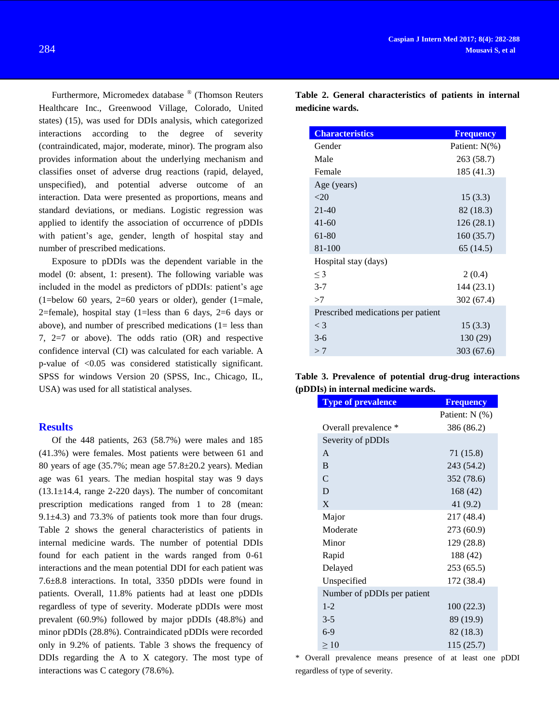Furthermore, Micromedex database ® (Thomson Reuters Healthcare Inc., Greenwood Village, Colorado, United states) (15), was used for DDIs analysis, which categorized interactions according to the degree of severity (contraindicated, major, moderate, minor). The program also provides information about the underlying mechanism and classifies onset of adverse drug reactions (rapid, delayed, unspecified), and potential adverse outcome of an interaction. Data were presented as proportions, means and standard deviations, or medians. Logistic regression was applied to identify the association of occurrence of pDDIs with patient's age, gender, length of hospital stay and number of prescribed medications.

Exposure to pDDIs was the dependent variable in the model (0: absent, 1: present). The following variable was included in the model as predictors of pDDIs: patient's age  $(1=below 60 years, 2=60 years or older), gender (1=male,$ 2=female), hospital stay (1=less than 6 days, 2=6 days or above), and number of prescribed medications (1= less than 7, 2=7 or above). The odds ratio (OR) and respective confidence interval (CI) was calculated for each variable. A p-value of <0.05 was considered statistically significant. SPSS for windows Version 20 (SPSS, Inc., Chicago, IL, USA) was used for all statistical analyses.

### **Results**

Of the 448 patients, 263 (58.7%) were males and 185 (41.3%) were females. Most patients were between 61 and 80 years of age (35.7%; mean age 57.8±20.2 years). Median age was 61 years. The median hospital stay was 9 days  $(13.1\pm14.4, \text{ range } 2\text{-}220 \text{ days})$ . The number of concomitant prescription medications ranged from 1 to 28 (mean: 9.1±4.3) and 73.3% of patients took more than four drugs. Table 2 shows the general characteristics of patients in internal medicine wards. The number of potential DDIs found for each patient in the wards ranged from 0-61 interactions and the mean potential DDI for each patient was 7.6±8.8 interactions. In total, 3350 pDDIs were found in patients. Overall, 11.8% patients had at least one pDDIs regardless of type of severity. Moderate pDDIs were most prevalent (60.9%) followed by major pDDIs (48.8%) and minor pDDIs (28.8%). Contraindicated pDDIs were recorded only in 9.2% of patients. Table 3 shows the frequency of DDIs regarding the A to X category. The most type of interactions was C category (78.6%).

**Table 2. General characteristics of patients in internal medicine wards.**

| <b>Characteristics</b>             | <b>Frequency</b> |
|------------------------------------|------------------|
| Gender                             | Patient: N(%)    |
| Male                               | 263 (58.7)       |
| Female                             | 185 (41.3)       |
| Age (years)                        |                  |
| $<$ 20                             | 15(3.3)          |
| $21 - 40$                          | 82 (18.3)        |
| $41 - 60$                          | 126(28.1)        |
| 61-80                              | 160(35.7)        |
| 81-100                             | 65 (14.5)        |
| Hospital stay (days)               |                  |
| $\leq$ 3                           | 2(0.4)           |
| $3 - 7$                            | 144(23.1)        |
| >7                                 | 302 (67.4)       |
| Prescribed medications per patient |                  |
| $\lt$ 3                            | 15(3.3)          |
| $3-6$                              | 130 (29)         |
| >7                                 | 303 (67.6)       |

|  |                                     | Table 3. Prevalence of potential drug-drug interactions |
|--|-------------------------------------|---------------------------------------------------------|
|  | (pDDIs) in internal medicine wards. |                                                         |

| <b>Type of prevalence</b>   | <b>Frequency</b> |
|-----------------------------|------------------|
|                             | Patient: N (%)   |
| Overall prevalence *        | 386 (86.2)       |
| Severity of pDDIs           |                  |
| $\mathsf{A}$                | 71 (15.8)        |
| B                           | 243 (54.2)       |
| $\mathsf{C}$                | 352 (78.6)       |
| D                           | 168 (42)         |
| X                           | 41 (9.2)         |
| Major                       | 217 (48.4)       |
| Moderate                    | 273 (60.9)       |
| Minor                       | 129 (28.8)       |
| Rapid                       | 188 (42)         |
| Delayed                     | 253 (65.5)       |
| Unspecified                 | 172 (38.4)       |
| Number of pDDIs per patient |                  |
| $1 - 2$                     | 100(22.3)        |
| $3 - 5$                     | 89 (19.9)        |
| $6-9$                       | 82 (18.3)        |
| $\geq 10$                   | 115 (25.7)       |

\* Overall prevalence means presence of at least one pDDI regardless of type of severity.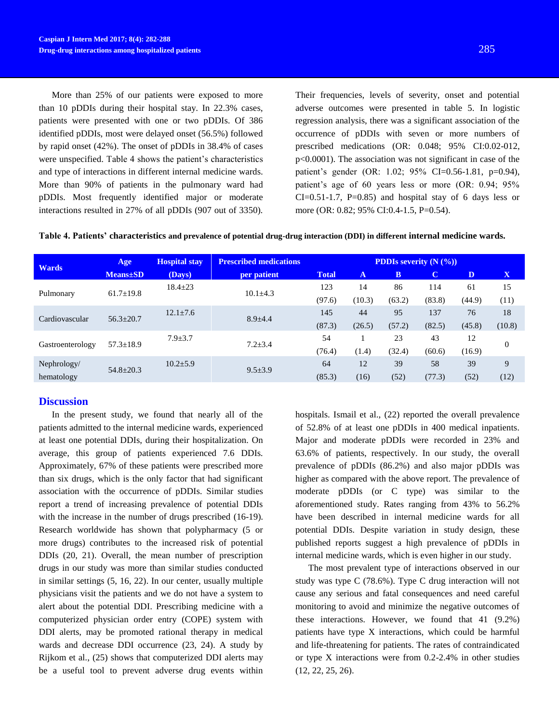More than 25% of our patients were exposed to more

than 10 pDDIs during their hospital stay. In 22.3% cases, patients were presented with one or two pDDIs. Of 386 identified pDDIs, most were delayed onset (56.5%) followed by rapid onset (42%). The onset of pDDIs in 38.4% of cases were unspecified. Table 4 shows the patient's characteristics and type of interactions in different internal medicine wards. More than 90% of patients in the pulmonary ward had pDDIs. Most frequently identified major or moderate interactions resulted in 27% of all pDDIs (907 out of 3350).

Their frequencies, levels of severity, onset and potential adverse outcomes were presented in table 5. In logistic regression analysis, there was a significant association of the occurrence of pDDIs with seven or more numbers of prescribed medications (OR: 0.048; 95% CI:0.02-012, p<0.0001). The association was not significant in case of the patient's gender (OR: 1.02; 95% CI=0.56-1.81, p=0.94), patient's age of 60 years less or more (OR: 0.94; 95%  $CI=0.51-1.7$ ,  $P=0.85$  and hospital stay of 6 days less or more (OR: 0.82; 95% CI:0.4-1.5, P=0.54).

|  | Table 4. Patients' characteristics and prevalence of potential drug-drug interaction (DDI) in different internal medicine wards. |  |
|--|----------------------------------------------------------------------------------------------------------------------------------|--|
|--|----------------------------------------------------------------------------------------------------------------------------------|--|

|                  | Age              | <b>Hospital stay</b> | <b>Prescribed medications</b> | <b>PDDIs severity</b> $(N (%))$ |              |              |             |        |          |
|------------------|------------------|----------------------|-------------------------------|---------------------------------|--------------|--------------|-------------|--------|----------|
| <b>Wards</b>     | <b>Means</b> ±SD | (Days)               | per patient                   | <b>Total</b>                    | $\mathbf{A}$ | $\mathbf{B}$ | $\mathbf C$ | D      | X        |
|                  |                  | $18.4 \pm 23$        | $10.1 \pm 4.3$                | 123                             | 14           | 86           | 114         | 61     | 15       |
| Pulmonary        | $61.7 \pm 19.8$  |                      |                               | (97.6)                          | (10.3)       | (63.2)       | (83.8)      | (44.9) | (11)     |
|                  |                  | $12.1 \pm 7.6$       | $8.9 \pm 4.4$                 | 145                             | 44           | 95           | 137         | 76     | 18       |
| Cardiovascular   | $56.3 \pm 20.7$  |                      |                               | (87.3)                          | (26.5)       | (57.2)       | (82.5)      | (45.8) | (10.8)   |
|                  | $57.3 \pm 18.9$  | $7.9 \pm 3.7$        | $7.2 \pm 3.4$                 | 54                              |              | 23           | 43          | 12     |          |
| Gastroenterology |                  |                      |                               | (76.4)                          | (1.4)        | (32.4)       | (60.6)      | (16.9) | $\theta$ |
| Nephrology/      | $54.8 \pm 20.3$  | $10.2 \pm 5.9$       | $9.5 \pm 3.9$                 | 64                              | 12           | 39           | 58          | 39     | 9        |
| hematology       |                  |                      |                               | (85.3)                          | (16)         | (52)         | (77.3)      | (52)   | (12)     |

## **Discussion**

In the present study, we found that nearly all of the patients admitted to the internal medicine wards, experienced at least one potential DDIs, during their hospitalization. On average, this group of patients experienced 7.6 DDIs. Approximately, 67% of these patients were prescribed more than six drugs, which is the only factor that had significant association with the occurrence of pDDIs. Similar studies report a trend of increasing prevalence of potential DDIs with the increase in the number of drugs prescribed (16-19). Research worldwide has shown that polypharmacy (5 or more drugs) contributes to the increased risk of potential DDIs (20, 21). Overall, the mean number of prescription drugs in our study was more than similar studies conducted in similar settings (5, 16, 22). In our center, usually multiple physicians visit the patients and we do not have a system to alert about the potential DDI. Prescribing medicine with a computerized physician order entry (COPE) system with DDI alerts, may be promoted rational therapy in medical wards and decrease DDI occurrence (23, 24). A study by Rijkom et al., (25) shows that computerized DDI alerts may be a useful tool to prevent adverse drug events within

hospitals. Ismail et al., (22) reported the overall prevalence of 52.8% of at least one pDDIs in 400 medical inpatients. Major and moderate pDDIs were recorded in 23% and 63.6% of patients, respectively. In our study, the overall prevalence of pDDIs (86.2%) and also major pDDIs was higher as compared with the above report. The prevalence of moderate pDDIs (or C type) was similar to the aforementioned study. Rates ranging from 43% to 56.2% have been described in internal medicine wards for all potential DDIs. Despite variation in study design, these published reports suggest a high prevalence of pDDIs in internal medicine wards, which is even higher in our study.

The most prevalent type of interactions observed in our study was type C (78.6%). Type C drug interaction will not cause any serious and fatal consequences and need careful monitoring to avoid and minimize the negative outcomes of these interactions. However, we found that 41 (9.2%) patients have type X interactions, which could be harmful and life-threatening for patients. The rates of contraindicated or type X interactions were from 0.2-2.4% in other studies (12, 22, 25, 26).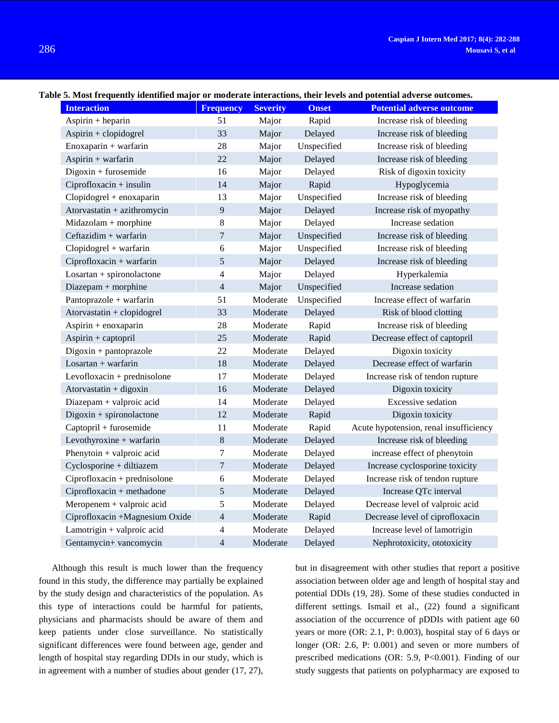#### **Table 5. Most frequently identified major or moderate interactions, their levels and potential adverse outcomes.**

|                                | ernost requently numerica major or mouerate micraetions, men reveis and potential auverse outcomes. |                 |              |                                        |  |  |
|--------------------------------|-----------------------------------------------------------------------------------------------------|-----------------|--------------|----------------------------------------|--|--|
| <b>Interaction</b>             | <b>Frequency</b>                                                                                    | <b>Severity</b> | <b>Onset</b> | <b>Potential adverse outcome</b>       |  |  |
| Aspirin $+$ heparin            | 51                                                                                                  | Major           | Rapid        | Increase risk of bleeding              |  |  |
| Aspirin + clopidogrel          | 33                                                                                                  | Major           | Delayed      | Increase risk of bleeding              |  |  |
| Enoxaparin + warfarin          | 28                                                                                                  | Major           | Unspecified  | Increase risk of bleeding              |  |  |
| Aspirin + warfarin             | 22                                                                                                  | Major           | Delayed      | Increase risk of bleeding              |  |  |
| $Digoxin + furosemide$         | 16                                                                                                  | Major           | Delayed      | Risk of digoxin toxicity               |  |  |
| Ciprofloxacin + insulin        | 14                                                                                                  | Major           | Rapid        | Hypoglycemia                           |  |  |
| Clopidogrel + enoxaparin       | 13                                                                                                  | Major           | Unspecified  | Increase risk of bleeding              |  |  |
| Atorvastatin + azithromycin    | $\overline{9}$                                                                                      | Major           | Delayed      | Increase risk of myopathy              |  |  |
| Midazolam + morphine           | 8                                                                                                   | Major           | Delayed      | Increase sedation                      |  |  |
| Ceftazidim + warfarin          | 7                                                                                                   | Major           | Unspecified  | Increase risk of bleeding              |  |  |
| Clopidogrel + warfarin         | 6                                                                                                   | Major           | Unspecified  | Increase risk of bleeding              |  |  |
| Ciprofloxacin + warfarin       | 5                                                                                                   | Major           | Delayed      | Increase risk of bleeding              |  |  |
| $Losartan + spironolactone$    | 4                                                                                                   | Major           | Delayed      | Hyperkalemia                           |  |  |
| Diazepam + morphine            | $\overline{4}$                                                                                      | Major           | Unspecified  | Increase sedation                      |  |  |
| Pantoprazole + warfarin        | 51                                                                                                  | Moderate        | Unspecified  | Increase effect of warfarin            |  |  |
| Atorvastatin + clopidogrel     | 33                                                                                                  | Moderate        | Delayed      | Risk of blood clotting                 |  |  |
| Aspirin + enoxaparin           | 28                                                                                                  | Moderate        | Rapid        | Increase risk of bleeding              |  |  |
| Aspirin + captopril            | 25                                                                                                  | Moderate        | Rapid        | Decrease effect of captopril           |  |  |
| Digoxin + pantoprazole         | 22                                                                                                  | Moderate        | Delayed      | Digoxin toxicity                       |  |  |
| Losartan + warfarin            | 18                                                                                                  | Moderate        | Delayed      | Decrease effect of warfarin            |  |  |
| Levofloxacin + prednisolone    | 17                                                                                                  | Moderate        | Delayed      | Increase risk of tendon rupture        |  |  |
| Atorvastatin + digoxin         | 16                                                                                                  | Moderate        | Delayed      | Digoxin toxicity                       |  |  |
| Diazepam + valproic acid       | 14                                                                                                  | Moderate        | Delayed      | Excessive sedation                     |  |  |
| $Digoxin + spironolactone$     | 12                                                                                                  | Moderate        | Rapid        | Digoxin toxicity                       |  |  |
| Captopril + furosemide         | 11                                                                                                  | Moderate        | Rapid        | Acute hypotension, renal insufficiency |  |  |
| Levothyroxine + warfarin       | $\,8\,$                                                                                             | Moderate        | Delayed      | Increase risk of bleeding              |  |  |
| Phenytoin + valproic acid      | $\tau$                                                                                              | Moderate        | Delayed      | increase effect of phenytoin           |  |  |
| Cyclosporine + diltiazem       | $\overline{7}$                                                                                      | Moderate        | Delayed      | Increase cyclosporine toxicity         |  |  |
| Ciprofloxacin + prednisolone   | $\sqrt{6}$                                                                                          | Moderate        | Delayed      | Increase risk of tendon rupture        |  |  |
| Ciprofloxacin + methadone      | 5                                                                                                   | Moderate        | Delayed      | Increase QTc interval                  |  |  |
| Meropenem + valproic acid      | 5                                                                                                   | Moderate        | Delayed      | Decrease level of valproic acid        |  |  |
| Ciprofloxacin +Magnesium Oxide | $\overline{4}$                                                                                      | Moderate        | Rapid        | Decrease level of ciprofloxacin        |  |  |
| Lamotrigin + valproic acid     | 4                                                                                                   | Moderate        | Delayed      | Increase level of lamotrigin           |  |  |
| Gentamycin+ vancomycin         | 4                                                                                                   | Moderate        | Delayed      | Nephrotoxicity, ototoxicity            |  |  |

Although this result is much lower than the frequency found in this study, the difference may partially be explained by the study design and characteristics of the population. As this type of interactions could be harmful for patients, physicians and pharmacists should be aware of them and keep patients under close surveillance. No statistically significant differences were found between age, gender and length of hospital stay regarding DDIs in our study, which is in agreement with a number of studies about gender (17, 27), but in disagreement with other studies that report a positive association between older age and length of hospital stay and potential DDIs (19, 28). Some of these studies conducted in different settings. Ismail et al., (22) found a significant association of the occurrence of pDDIs with patient age 60 years or more (OR: 2.1, P: 0.003), hospital stay of 6 days or longer (OR: 2.6, P: 0.001) and seven or more numbers of prescribed medications (OR: 5.9, P<0.001). Finding of our study suggests that patients on polypharmacy are exposed to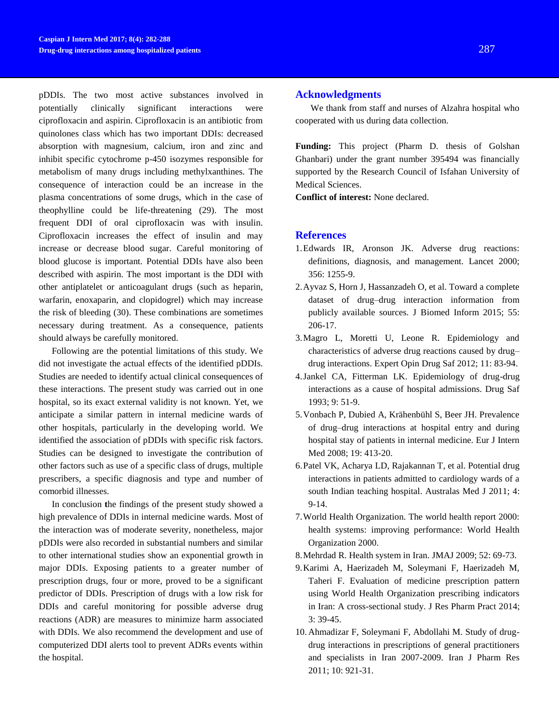pDDIs. The two most active substances involved in potentially clinically significant interactions were ciprofloxacin and aspirin. Ciprofloxacin is an antibiotic from quinolones class which has two important DDIs: decreased absorption with magnesium, calcium, iron and zinc and inhibit specific cytochrome p-450 isozymes responsible for metabolism of many drugs including methylxanthines. The consequence of interaction could be an increase in the plasma concentrations of some drugs, which in the case of theophylline could be life-threatening (29). The most frequent DDI of oral ciprofloxacin was with insulin. Ciprofloxacin increases the effect of insulin and may increase or decrease blood sugar. Careful monitoring of blood glucose is important. Potential DDIs have also been described with aspirin. The most important is the DDI with other antiplatelet or anticoagulant drugs (such as heparin, warfarin, enoxaparin, and clopidogrel) which may increase the risk of bleeding (30). These combinations are sometimes necessary during treatment. As a consequence, patients should always be carefully monitored.

Following are the potential limitations of this study. We did not investigate the actual effects of the identified pDDIs. Studies are needed to identify actual clinical consequences of these interactions. The present study was carried out in one hospital, so its exact external validity is not known. Yet, we anticipate a similar pattern in internal medicine wards of other hospitals, particularly in the developing world. We identified the association of pDDIs with specific risk factors. Studies can be designed to investigate the contribution of other factors such as use of a specific class of drugs, multiple prescribers, a specific diagnosis and type and number of comorbid illnesses.

In conclusion **t**he findings of the present study showed a high prevalence of DDIs in internal medicine wards. Most of the interaction was of moderate severity, nonetheless, major pDDIs were also recorded in substantial numbers and similar to other international studies show an exponential growth in major DDIs. Exposing patients to a greater number of prescription drugs, four or more, proved to be a significant predictor of DDIs. Prescription of drugs with a low risk for DDIs and careful monitoring for possible adverse drug reactions (ADR) are measures to minimize harm associated with DDIs. We also recommend the development and use of computerized DDI alerts tool to prevent ADRs events within the hospital.

#### **Acknowledgments**

We thank from staff and nurses of Alzahra hospital who cooperated with us during data collection.

**Funding:** This project (Pharm D. thesis of Golshan Ghanbari) under the grant number 395494 was financially supported by the Research Council of Isfahan University of Medical Sciences.

**Conflict of interest:** None declared.

#### **References**

- 1.Edwards IR, Aronson JK. Adverse drug reactions: definitions, diagnosis, and management. Lancet 2000; 356: 1255-9.
- 2.Ayvaz S, Horn J, Hassanzadeh O, et al. Toward a complete dataset of drug–drug interaction information from publicly available sources. J Biomed Inform 2015; 55: 206-17.
- 3.Magro L, Moretti U, Leone R. Epidemiology and characteristics of adverse drug reactions caused by drug– drug interactions. Expert Opin Drug Saf 2012; 11: 83-94.
- 4.Jankel CA, Fitterman LK. Epidemiology of drug-drug interactions as a cause of hospital admissions. Drug Saf 1993; 9: 51-9.
- 5.Vonbach P, Dubied A, Krähenbühl S, Beer JH. Prevalence of drug–drug interactions at hospital entry and during hospital stay of patients in internal medicine. Eur J Intern Med 2008; 19: 413-20.
- 6[.Patel VK,](https://www.ncbi.nlm.nih.gov/pubmed/?term=Patel%20VK%5BAuthor%5D&cauthor=true&cauthor_uid=23393498) [Acharya LD,](https://www.ncbi.nlm.nih.gov/pubmed/?term=Acharya%20LD%5BAuthor%5D&cauthor=true&cauthor_uid=23393498) [Rajakannan T,](https://www.ncbi.nlm.nih.gov/pubmed/?term=Rajakannan%20T%5BAuthor%5D&cauthor=true&cauthor_uid=23393498) et al. Potential drug interactions in patients admitted to cardiology wards of a south Indian teaching hospital. [Australas Med J](https://www.ncbi.nlm.nih.gov/pubmed/23393498) 2011; 4: 9-14.
- 7.World Health Organization. The world health report 2000: health systems: improving performance: World Health Organization 2000.
- 8.Mehrdad R. Health system in Iran. JMAJ 2009; 52: 69-73.
- 9.Karimi A, Haerizadeh M, Soleymani F, Haerizadeh M, Taheri F. Evaluation of medicine prescription pattern using World Health Organization prescribing indicators in Iran: A cross-sectional study. J Res Pharm Pract 2014; 3: 39-45.
- 10. Ahmadizar F, Soleymani F, Abdollahi M. Study of drugdrug interactions in prescriptions of general practitioners and specialists in Iran 2007-2009. Iran J Pharm Res 2011; 10: 921-31.